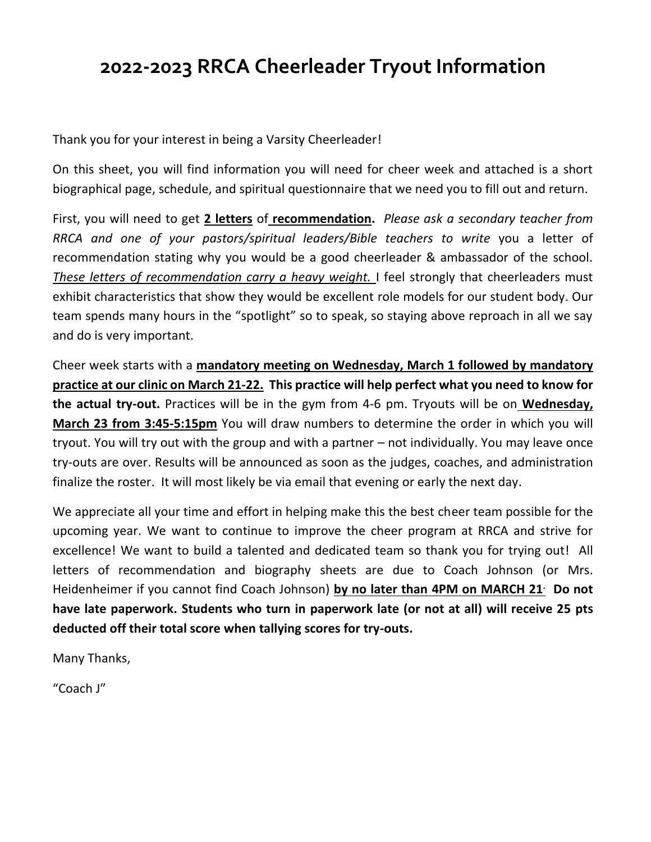## **2022-2023 RRCA Cheerleader Tryout Information**

Thank you for your interest in being a Varsity Cheerleader!

On this sheet, you will find information you will need for cheer week and attached is a short biographical page, schedule, and spiritual questionnaire that we need you to fill out and return.

First, you will need to get **2 letters** of **recommendation.** *Please ask a secondary teacher from RRCA and one of your pastors/spiritual leaders/Bible teachers to write* you a letter of recommendation stating why you would be a good cheerleader & ambassador of the school. *These letters of recommendation carry a heavy weight.* I feel strongly that cheerleaders must exhibit characteristics that show they would be excellent role models for our student body. Our team spends many hours in the "spotlight" so to speak, so staying above reproach in all we say and do is very important.

Cheer week starts with a **mandatory meeting on Wednesday, March 1 followed by mandatory practice at our clinic on March 21-22. This practice will help perfect what you need to know for the actual try-out.** Practices will be in the gym from 4-6 pm. Tryouts will be on **Wednesday, March 23 from 3:45-5:15pm** You will draw numbers to determine the order in which you will tryout. You will try out with the group and with a partner – not individually. You may leave once try-outs are over. Results will be announced as soon as the judges, coaches, and administration finalize the roster. It will most likely be via email that evening or early the next day.

We appreciate all your time and effort in helping make this the best cheer team possible for the upcoming year. We want to continue to improve the cheer program at RRCA and strive for excellence! We want to build a talented and dedicated team so thank you for trying out! All letters of recommendation and biography sheets are due to Coach Johnson (or Mrs. Heidenheimer if you cannot find Coach Johnson) **by no later than 4PM on MARCH 21. Do not have late paperwork. Students who turn in paperwork late (or not at all) will receive 25 pts deducted off their total score when tallying scores for try-outs.** 

Many Thanks,

"Coach J"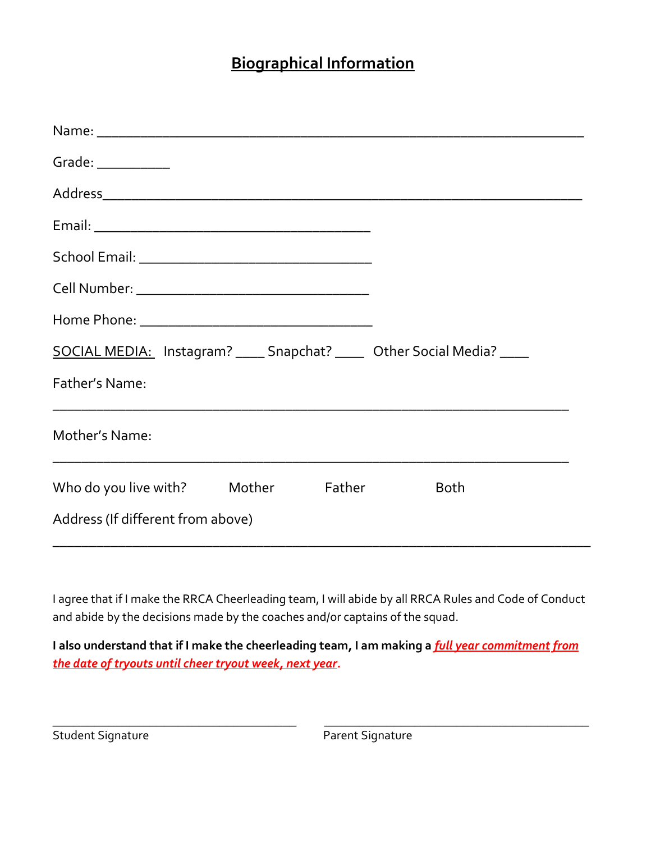## **Biographical Information**

| Grade: $\_$                                                               |             |
|---------------------------------------------------------------------------|-------------|
|                                                                           |             |
|                                                                           |             |
|                                                                           |             |
|                                                                           |             |
|                                                                           |             |
| SOCIAL MEDIA: Instagram? _____ Snapchat? ______ Other Social Media? _____ |             |
| Father's Name:                                                            |             |
| Mother's Name:                                                            |             |
| Who do you live with? Mother Father                                       | <b>Both</b> |
| Address (If different from above)                                         |             |

I agree that if I make the RRCA Cheerleading team, I will abide by all RRCA Rules and Code of Conduct and abide by the decisions made by the coaches and/or captains of the squad.

**I also understand that if I make the cheerleading team, I am making a** *full year commitment from the date of tryouts until cheer tryout week, next year.*

 $\_$  , and the set of the set of the set of the set of the set of the set of the set of the set of the set of the set of the set of the set of the set of the set of the set of the set of the set of the set of the set of th

Student Signature Parent Signature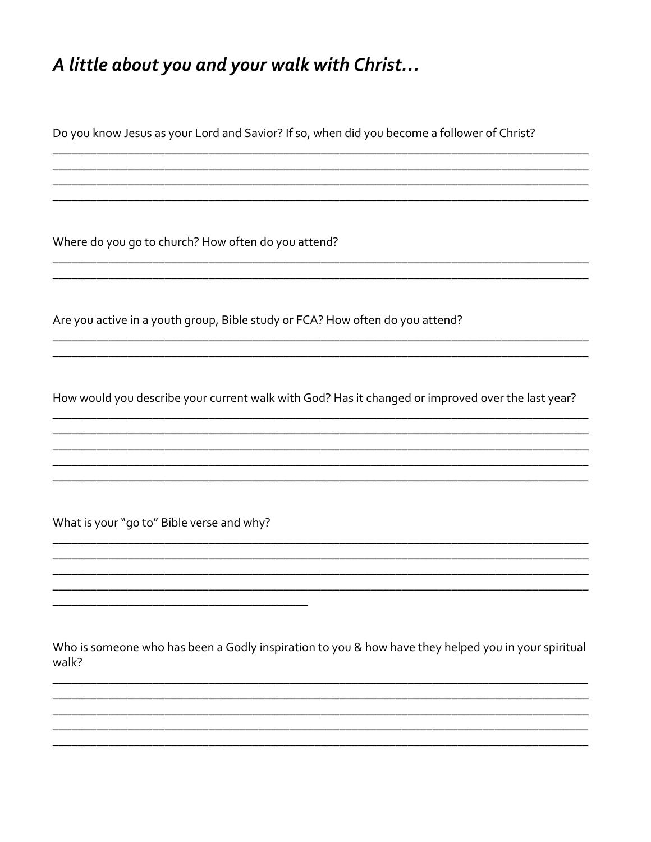## A little about you and your walk with Christ...

Do you know Jesus as your Lord and Savior? If so, when did you become a follower of Christ?

Where do you go to church? How often do you attend?

Are you active in a youth group, Bible study or FCA? How often do you attend?

How would you describe your current walk with God? Has it changed or improved over the last year?

What is your "go to" Bible verse and why?

Who is someone who has been a Godly inspiration to you & how have they helped you in your spiritual walk?